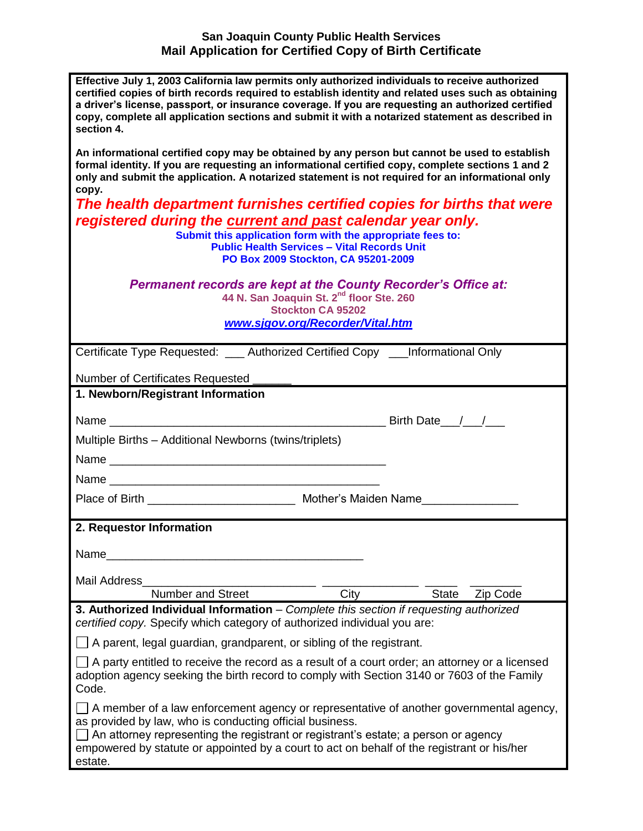## **San Joaquin County Public Health Services Mail Application for Certified Copy of Birth Certificate**

| Effective July 1, 2003 California law permits only authorized individuals to receive authorized<br>certified copies of birth records required to establish identity and related uses such as obtaining<br>a driver's license, passport, or insurance coverage. If you are requesting an authorized certified<br>copy, complete all application sections and submit it with a notarized statement as described in<br>section 4. |
|--------------------------------------------------------------------------------------------------------------------------------------------------------------------------------------------------------------------------------------------------------------------------------------------------------------------------------------------------------------------------------------------------------------------------------|
| An informational certified copy may be obtained by any person but cannot be used to establish<br>formal identity. If you are requesting an informational certified copy, complete sections 1 and 2<br>only and submit the application. A notarized statement is not required for an informational only<br>copy.<br>The health department furnishes certified copies for births that were                                       |
| registered during the current and past calendar year only.<br>Submit this application form with the appropriate fees to:<br><b>Public Health Services - Vital Records Unit</b><br>PO Box 2009 Stockton, CA 95201-2009                                                                                                                                                                                                          |
| <b>Permanent records are kept at the County Recorder's Office at:</b><br>44 N. San Joaquin St. 2 <sup>nd</sup> floor Ste. 260<br><b>Stockton CA 95202</b><br>www.sjgov.org/Recorder/Vital.htm                                                                                                                                                                                                                                  |
| Certificate Type Requested: ____ Authorized Certified Copy ____ Informational Only                                                                                                                                                                                                                                                                                                                                             |
| Number of Certificates Requested                                                                                                                                                                                                                                                                                                                                                                                               |
| 1. Newborn/Registrant Information                                                                                                                                                                                                                                                                                                                                                                                              |
| Birth Date 1. 1                                                                                                                                                                                                                                                                                                                                                                                                                |
| Multiple Births - Additional Newborns (twins/triplets)                                                                                                                                                                                                                                                                                                                                                                         |
|                                                                                                                                                                                                                                                                                                                                                                                                                                |
|                                                                                                                                                                                                                                                                                                                                                                                                                                |
| Place of Birth ________________________________ Mother's Maiden Name_____________                                                                                                                                                                                                                                                                                                                                              |
| 2. Requestor Information                                                                                                                                                                                                                                                                                                                                                                                                       |
| Name                                                                                                                                                                                                                                                                                                                                                                                                                           |
| Mail Address                                                                                                                                                                                                                                                                                                                                                                                                                   |
| Number and Street<br>City<br><b>State</b><br>Zip Code                                                                                                                                                                                                                                                                                                                                                                          |
| 3. Authorized Individual Information - Complete this section if requesting authorized<br>certified copy. Specify which category of authorized individual you are:                                                                                                                                                                                                                                                              |
| A parent, legal guardian, grandparent, or sibling of the registrant.                                                                                                                                                                                                                                                                                                                                                           |
| A party entitled to receive the record as a result of a court order; an attorney or a licensed<br>adoption agency seeking the birth record to comply with Section 3140 or 7603 of the Family<br>Code.                                                                                                                                                                                                                          |
| A member of a law enforcement agency or representative of another governmental agency,<br>as provided by law, who is conducting official business.<br>An attorney representing the registrant or registrant's estate; a person or agency<br>empowered by statute or appointed by a court to act on behalf of the registrant or his/her<br>estate.                                                                              |